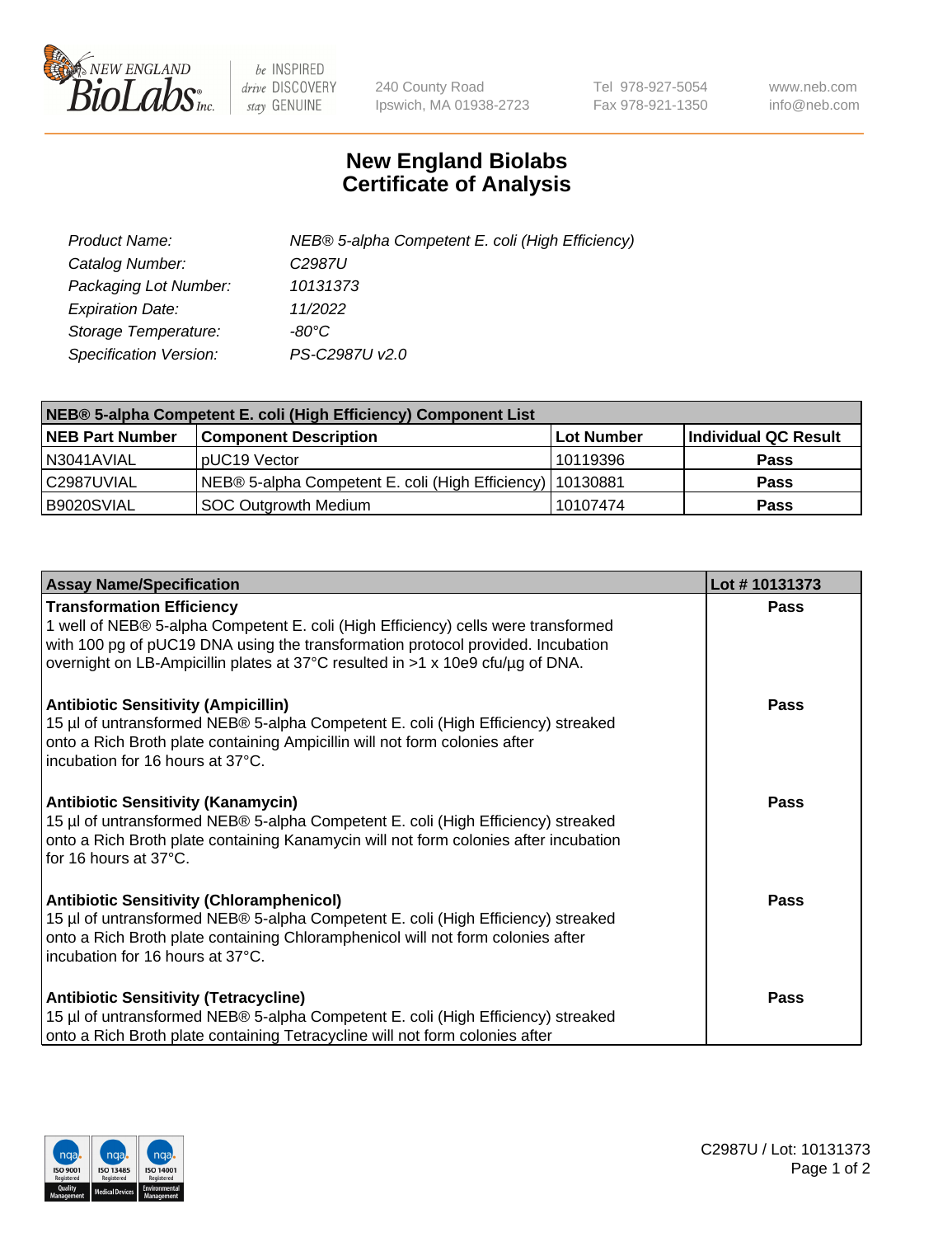

 $be$  INSPIRED drive DISCOVERY stay GENUINE

240 County Road Ipswich, MA 01938-2723 Tel 978-927-5054 Fax 978-921-1350 www.neb.com info@neb.com

## **New England Biolabs Certificate of Analysis**

| Product Name:                 | NEB® 5-alpha Competent E. coli (High Efficiency) |
|-------------------------------|--------------------------------------------------|
| Catalog Number:               | C <sub>2987</sub> U                              |
| Packaging Lot Number:         | 10131373                                         |
| <b>Expiration Date:</b>       | 11/2022                                          |
| Storage Temperature:          | -80°C                                            |
| <b>Specification Version:</b> | PS-C2987U v2.0                                   |

| NEB® 5-alpha Competent E. coli (High Efficiency) Component List |                                                             |            |                      |  |
|-----------------------------------------------------------------|-------------------------------------------------------------|------------|----------------------|--|
| <b>NEB Part Number</b>                                          | <b>Component Description</b>                                | Lot Number | Individual QC Result |  |
| N3041AVIAL                                                      | pUC19 Vector                                                | 10119396   | <b>Pass</b>          |  |
| C2987UVIAL                                                      | NEB® 5-alpha Competent E. coli (High Efficiency)   10130881 |            | <b>Pass</b>          |  |
| B9020SVIAL                                                      | SOC Outgrowth Medium                                        | 10107474   | <b>Pass</b>          |  |

| <b>Assay Name/Specification</b>                                                                                                                                                                                                                                                            | Lot #10131373 |
|--------------------------------------------------------------------------------------------------------------------------------------------------------------------------------------------------------------------------------------------------------------------------------------------|---------------|
| <b>Transformation Efficiency</b><br>1 well of NEB® 5-alpha Competent E. coli (High Efficiency) cells were transformed<br>with 100 pg of pUC19 DNA using the transformation protocol provided. Incubation<br>overnight on LB-Ampicillin plates at 37°C resulted in >1 x 10e9 cfu/µg of DNA. | Pass          |
| <b>Antibiotic Sensitivity (Ampicillin)</b><br>15 µl of untransformed NEB® 5-alpha Competent E. coli (High Efficiency) streaked<br>onto a Rich Broth plate containing Ampicillin will not form colonies after<br>incubation for 16 hours at 37°C.                                           | Pass          |
| <b>Antibiotic Sensitivity (Kanamycin)</b><br>15 µl of untransformed NEB® 5-alpha Competent E. coli (High Efficiency) streaked<br>onto a Rich Broth plate containing Kanamycin will not form colonies after incubation<br>for 16 hours at $37^{\circ}$ C.                                   | Pass          |
| <b>Antibiotic Sensitivity (Chloramphenicol)</b><br>15 µl of untransformed NEB® 5-alpha Competent E. coli (High Efficiency) streaked<br>onto a Rich Broth plate containing Chloramphenicol will not form colonies after<br>incubation for 16 hours at 37°C.                                 | Pass          |
| <b>Antibiotic Sensitivity (Tetracycline)</b><br>15 µl of untransformed NEB® 5-alpha Competent E. coli (High Efficiency) streaked<br>onto a Rich Broth plate containing Tetracycline will not form colonies after                                                                           | <b>Pass</b>   |